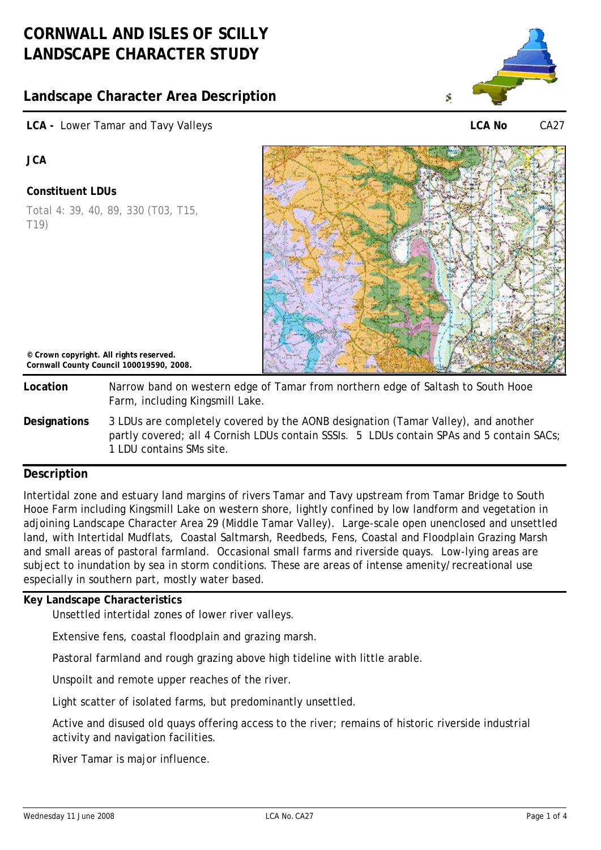# **CORNWALL AND ISLES OF SCILLY LANDSCAPE CHARACTER STUDY**

# **Landscape Character Area Description**





**LCA No** CA27

**JCA** 

## **Constituent LDUs**

Total 4: 39, 40, 89, 330 (T03, T15, T19)



**© Crown copyright. All rights reserved. Cornwall County Council 100019590, 2008.**

**Location** Narrow band on western edge of Tamar from northern edge of Saltash to South Hooe Farm, including Kingsmill Lake.

**Designations** 3 LDUs are completely covered by the AONB designation (Tamar Valley), and another partly covered; all 4 Cornish LDUs contain SSSIs. 5 LDUs contain SPAs and 5 contain SACs; 1 LDU contains SMs site.

## **Description**

Intertidal zone and estuary land margins of rivers Tamar and Tavy upstream from Tamar Bridge to South Hooe Farm including Kingsmill Lake on western shore, lightly confined by low landform and vegetation in adjoining Landscape Character Area 29 (Middle Tamar Valley). Large-scale open unenclosed and unsettled land, with Intertidal Mudflats, Coastal Saltmarsh, Reedbeds, Fens, Coastal and Floodplain Grazing Marsh and small areas of pastoral farmland. Occasional small farms and riverside quays. Low-lying areas are subject to inundation by sea in storm conditions. These are areas of intense amenity/recreational use especially in southern part, mostly water based.

## **Key Landscape Characteristics**

Unsettled intertidal zones of lower river valleys.

Extensive fens, coastal floodplain and grazing marsh.

Pastoral farmland and rough grazing above high tideline with little arable.

Unspoilt and remote upper reaches of the river.

Light scatter of isolated farms, but predominantly unsettled.

Active and disused old quays offering access to the river; remains of historic riverside industrial activity and navigation facilities.

River Tamar is major influence.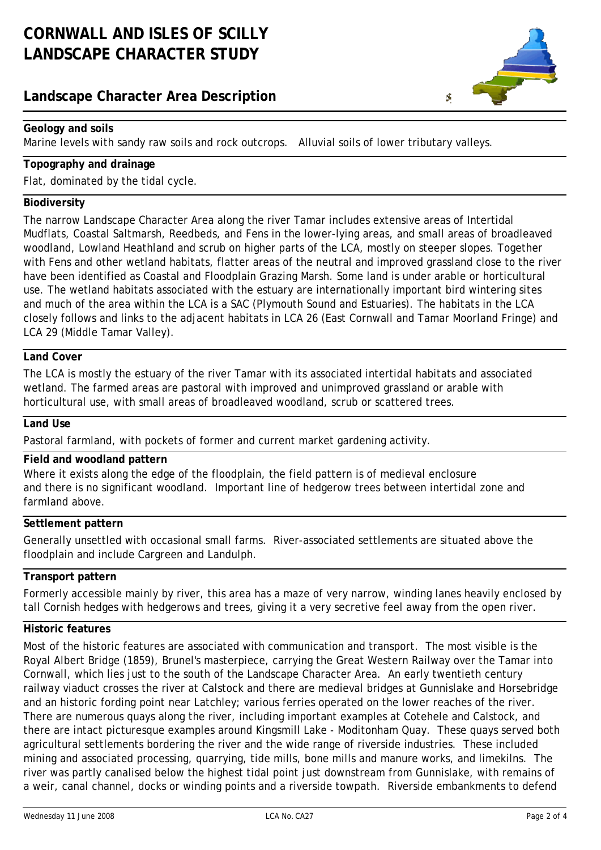## **Landscape Character Area Description**



## **Geology and soils**

Marine levels with sandy raw soils and rock outcrops. Alluvial soils of lower tributary valleys.

## **Topography and drainage**

Flat, dominated by the tidal cycle.

#### **Biodiversity**

The narrow Landscape Character Area along the river Tamar includes extensive areas of Intertidal Mudflats, Coastal Saltmarsh, Reedbeds, and Fens in the lower-lying areas, and small areas of broadleaved woodland, Lowland Heathland and scrub on higher parts of the LCA, mostly on steeper slopes. Together with Fens and other wetland habitats, flatter areas of the neutral and improved grassland close to the river have been identified as Coastal and Floodplain Grazing Marsh. Some land is under arable or horticultural use. The wetland habitats associated with the estuary are internationally important bird wintering sites and much of the area within the LCA is a SAC (Plymouth Sound and Estuaries). The habitats in the LCA closely follows and links to the adjacent habitats in LCA 26 (East Cornwall and Tamar Moorland Fringe) and LCA 29 (Middle Tamar Valley).

## **Land Cover**

The LCA is mostly the estuary of the river Tamar with its associated intertidal habitats and associated wetland. The farmed areas are pastoral with improved and unimproved grassland or arable with horticultural use, with small areas of broadleaved woodland, scrub or scattered trees.

#### **Land Use**

Pastoral farmland, with pockets of former and current market gardening activity.

### **Field and woodland pattern**

Where it exists along the edge of the floodplain, the field pattern is of medieval enclosure and there is no significant woodland. Important line of hedgerow trees between intertidal zone and farmland above.

#### **Settlement pattern**

Generally unsettled with occasional small farms. River-associated settlements are situated above the floodplain and include Cargreen and Landulph.

### **Transport pattern**

Formerly accessible mainly by river, this area has a maze of very narrow, winding lanes heavily enclosed by tall Cornish hedges with hedgerows and trees, giving it a very secretive feel away from the open river.

### **Historic features**

Most of the historic features are associated with communication and transport. The most visible is the Royal Albert Bridge (1859), Brunel's masterpiece, carrying the Great Western Railway over the Tamar into Cornwall, which lies just to the south of the Landscape Character Area. An early twentieth century railway viaduct crosses the river at Calstock and there are medieval bridges at Gunnislake and Horsebridge and an historic fording point near Latchley; various ferries operated on the lower reaches of the river. There are numerous quays along the river, including important examples at Cotehele and Calstock, and there are intact picturesque examples around Kingsmill Lake - Moditonham Quay. These quays served both agricultural settlements bordering the river and the wide range of riverside industries. These included mining and associated processing, quarrying, tide mills, bone mills and manure works, and limekilns. The river was partly canalised below the highest tidal point just downstream from Gunnislake, with remains of a weir, canal channel, docks or winding points and a riverside towpath. Riverside embankments to defend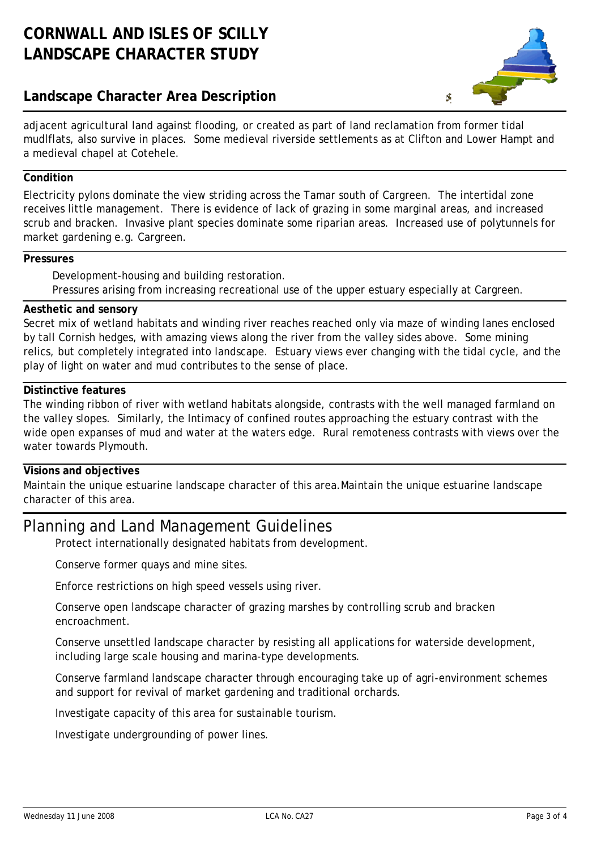## **Landscape Character Area Description**



adjacent agricultural land against flooding, or created as part of land reclamation from former tidal mudlflats, also survive in places. Some medieval riverside settlements as at Clifton and Lower Hampt and a medieval chapel at Cotehele.

## **Condition**

Electricity pylons dominate the view striding across the Tamar south of Cargreen. The intertidal zone receives little management. There is evidence of lack of grazing in some marginal areas, and increased scrub and bracken. Invasive plant species dominate some riparian areas. Increased use of polytunnels for market gardening e.g. Cargreen.

#### **Pressures**

Development-housing and building restoration. Pressures arising from increasing recreational use of the upper estuary especially at Cargreen.

#### **Aesthetic and sensory**

Secret mix of wetland habitats and winding river reaches reached only via maze of winding lanes enclosed by tall Cornish hedges, with amazing views along the river from the valley sides above. Some mining relics, but completely integrated into landscape. Estuary views ever changing with the tidal cycle, and the play of light on water and mud contributes to the sense of place.

### **Distinctive features**

The winding ribbon of river with wetland habitats alongside, contrasts with the well managed farmland on the valley slopes. Similarly, the Intimacy of confined routes approaching the estuary contrast with the wide open expanses of mud and water at the waters edge. Rural remoteness contrasts with views over the water towards Plymouth.

#### **Visions and objectives**

Maintain the unique estuarine landscape character of this area.Maintain the unique estuarine landscape character of this area.

## Planning and Land Management Guidelines

Protect internationally designated habitats from development.

Conserve former quays and mine sites.

Enforce restrictions on high speed vessels using river.

Conserve open landscape character of grazing marshes by controlling scrub and bracken encroachment.

Conserve unsettled landscape character by resisting all applications for waterside development, including large scale housing and marina-type developments.

Conserve farmland landscape character through encouraging take up of agri-environment schemes and support for revival of market gardening and traditional orchards.

Investigate capacity of this area for sustainable tourism.

Investigate undergrounding of power lines.